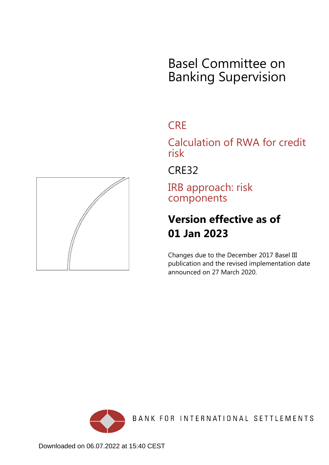# Basel Committee on Banking Supervision

# **CRE**

Calculation of RWA for credit risk

CRE32

IRB approach: risk components

# **Version effective as of 01 Jan 2023**

Changes due to the December 2017 Basel III publication and the revised implementation date announced on 27 March 2020.



BANK FOR INTERNATIONAL SETTLEMENTS

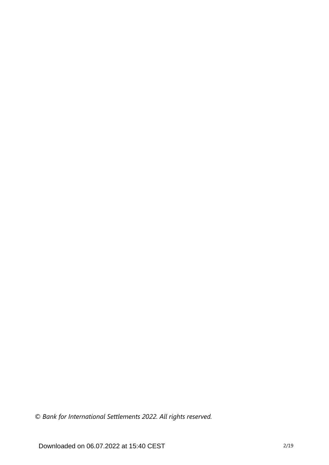*© Bank for International Settlements 2022. All rights reserved.*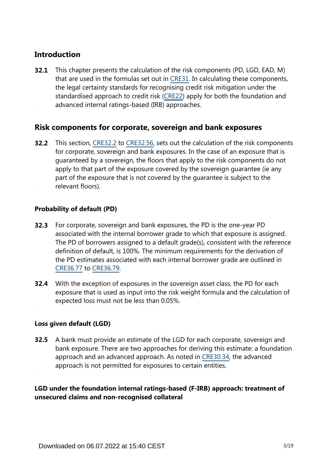# **Introduction**

This chapter presents the calculation of the risk components (PD, LGD, EAD, M) that are used in the formulas set out in [CRE31.](https://www.bis.org/basel_framework/chapter/CRE/31.htm?tldate=20230101&inforce=20230101&published=20200327) In calculating these components, the legal certainty standards for recognising credit risk mitigation under the standardised approach to credit risk ([CRE22](https://www.bis.org/basel_framework/chapter/CRE/22.htm?tldate=20230101&inforce=20230101&published=20201126)) apply for both the foundation and advanced internal ratings-based (IRB) approaches. **32.1**

# **Risk components for corporate, sovereign and bank exposures**

**32.2** This section, [CRE32.2](https://www.bis.org/basel_framework/chapter/CRE/32.htm?tldate=20230101&inforce=20230101&published=20200327#paragraph_CRE_32_20230101_32_2) to [CRE32.56,](https://www.bis.org/basel_framework/chapter/CRE/32.htm?tldate=20230101&inforce=20230101&published=20200327#paragraph_CRE_32_20230101_32_56) sets out the calculation of the risk components for corporate, sovereign and bank exposures. In the case of an exposure that is guaranteed by a sovereign, the floors that apply to the risk components do not apply to that part of the exposure covered by the sovereign guarantee (ie any part of the exposure that is not covered by the guarantee is subject to the relevant floors).

## **Probability of default (PD)**

- For corporate, sovereign and bank exposures, the PD is the one-year PD associated with the internal borrower grade to which that exposure is assigned. The PD of borrowers assigned to a default grade(s), consistent with the reference definition of default, is 100%. The minimum requirements for the derivation of the PD estimates associated with each internal borrower grade are outlined in [CRE36.77](https://www.bis.org/basel_framework/chapter/CRE/36.htm?tldate=20230101&inforce=20230101&published=20200327#paragraph_CRE_36_20230101_36_77) to [CRE36.79](https://www.bis.org/basel_framework/chapter/CRE/36.htm?tldate=20230101&inforce=20230101&published=20200327#paragraph_CRE_36_20230101_36_79). **32.3**
- **32.4** With the exception of exposures in the sovereign asset class, the PD for each exposure that is used as input into the risk weight formula and the calculation of expected loss must not be less than 0.05%.

# **Loss given default (LGD)**

**32.5** A bank must provide an estimate of the LGD for each corporate, sovereign and bank exposure. There are two approaches for deriving this estimate: a foundation approach and an advanced approach. As noted in [CRE30.34,](https://www.bis.org/basel_framework/chapter/CRE/30.htm?tldate=20230101&inforce=20230101&published=20200327#paragraph_CRE_30_20230101_30_34) the advanced approach is not permitted for exposures to certain entities.

**LGD under the foundation internal ratings-based (F-IRB) approach: treatment of unsecured claims and non-recognised collateral**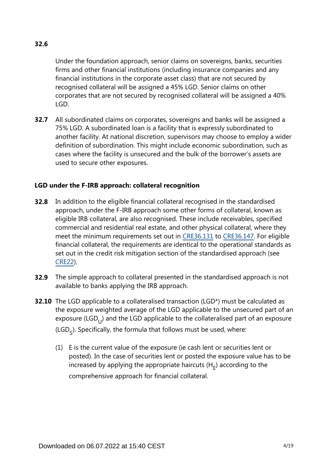# **32.6**

Under the foundation approach, senior claims on sovereigns, banks, securities firms and other financial institutions (including insurance companies and any financial institutions in the corporate asset class) that are not secured by recognised collateral will be assigned a 45% LGD. Senior claims on other corporates that are not secured by recognised collateral will be assigned a 40% LGD.

**32.7** All subordinated claims on corporates, sovereigns and banks will be assigned a 75% LGD. A subordinated loan is a facility that is expressly subordinated to another facility. At national discretion, supervisors may choose to employ a wider definition of subordination. This might include economic subordination, such as cases where the facility is unsecured and the bulk of the borrower's assets are used to secure other exposures.

## **LGD under the F-IRB approach: collateral recognition**

- **32.8** In addition to the eligible financial collateral recognised in the standardised approach, under the F-IRB approach some other forms of collateral, known as eligible IRB collateral, are also recognised. These include receivables, specified commercial and residential real estate, and other physical collateral, where they meet the minimum requirements set out in [CRE36.131](https://www.bis.org/basel_framework/chapter/CRE/36.htm?tldate=20230101&inforce=20230101&published=20200327#paragraph_CRE_36_20230101_36_131) to [CRE36.147](https://www.bis.org/basel_framework/chapter/CRE/36.htm?tldate=20230101&inforce=20230101&published=20200327#paragraph_CRE_36_20230101_36_147). For eligible financial collateral, the requirements are identical to the operational standards as set out in the credit risk mitigation section of the standardised approach (see [CRE22\)](https://www.bis.org/basel_framework/chapter/CRE/22.htm?tldate=20230101&inforce=20230101&published=20201126).
- **32.9** The simple approach to collateral presented in the standardised approach is not available to banks applying the IRB approach.
- **32.10** The LGD applicable to a collateralised transaction (LGD\*) must be calculated as the exposure weighted average of the LGD applicable to the unsecured part of an exposure (LGD $_{1}$ ) and the LGD applicable to the collateralised part of an exposure (LGD<sub>c</sub>). Specifically, the formula that follows must be used, where:
	- (1) E is the current value of the exposure (ie cash lent or securities lent or posted). In the case of securities lent or posted the exposure value has to be increased by applying the appropriate haircuts  $(H<sub>r</sub>)$  according to the comprehensive approach for financial collateral.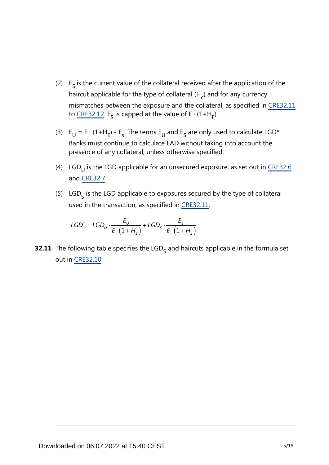- (2)  $E<sub>s</sub>$  is the current value of the collateral received after the application of the haircut applicable for the type of collateral (H<sub>c</sub>) and for any currency mismatches between the exposure and the collateral, as specified in [CRE32.11](https://www.bis.org/basel_framework/chapter/CRE/32.htm?tldate=20230101&inforce=20230101&published=20200327#paragraph_CRE_32_20230101_32_11) to [CRE32.12](https://www.bis.org/basel_framework/chapter/CRE/32.htm?tldate=20230101&inforce=20230101&published=20200327#paragraph_CRE_32_20230101_32_12). E<sub>S</sub> is capped at the value of E ⋅ (1+H<sub>E</sub>).
- (3)  $E_U = E \cdot (1 + H_E) E_s$ . The terms  $E_U$  and  $E_S$  are only used to calculate LGD\*. Banks must continue to calculate EAD without taking into account the presence of any collateral, unless otherwise specified.
- (4) LGD<sub>U</sub> is the LGD applicable for an unsecured exposure, as set out in <u>[CRE32.6](https://www.bis.org/basel_framework/chapter/CRE/32.htm?tldate=20230101&inforce=20230101&published=20200327#paragraph_CRE_32_20230101_32_6)</u> and [CRE32.7.](https://www.bis.org/basel_framework/chapter/CRE/32.htm?tldate=20230101&inforce=20230101&published=20200327#paragraph_CRE_32_20230101_32_7)
- (5)  $LGD<sub>c</sub>$  is the LGD applicable to exposures secured by the type of collateral used in the transaction, as specified in [CRE32.11.](https://www.bis.org/basel_framework/chapter/CRE/32.htm?tldate=20230101&inforce=20230101&published=20200327#paragraph_CRE_32_20230101_32_11)

$$
\mathsf{LGD}^* = \mathsf{LGD}_U \cdot \frac{E_U}{E \cdot (1 + H_E)} + \mathsf{LGD}_S \cdot \frac{E_S}{E \cdot (1 + H_E)}
$$

**32.11** The following table specifies the LGD<sub>S</sub> and haircuts applicable in the formula set out in [CRE32.10](https://www.bis.org/basel_framework/chapter/CRE/32.htm?tldate=20230101&inforce=20230101&published=20200327#paragraph_CRE_32_20230101_32_10):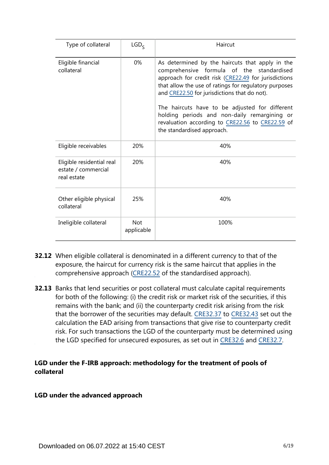| Type of collateral                                              | LGD <sub>c</sub>         | Haircut                                                                                                                                                                                                                                                                                                                                                                                                                                           |
|-----------------------------------------------------------------|--------------------------|---------------------------------------------------------------------------------------------------------------------------------------------------------------------------------------------------------------------------------------------------------------------------------------------------------------------------------------------------------------------------------------------------------------------------------------------------|
| Eligible financial<br>collateral                                | 0%                       | As determined by the haircuts that apply in the<br>comprehensive formula of the standardised<br>approach for credit risk (CRE22.49 for jurisdictions<br>that allow the use of ratings for regulatory purposes<br>and CRE22.50 for jurisdictions that do not).<br>The haircuts have to be adjusted for different<br>holding periods and non-daily remargining or<br>revaluation according to CRE22.56 to CRE22.59 of<br>the standardised approach. |
| Eligible receivables                                            | 20%                      | 40%                                                                                                                                                                                                                                                                                                                                                                                                                                               |
| Eligible residential real<br>estate / commercial<br>real estate | 20%                      | 40%                                                                                                                                                                                                                                                                                                                                                                                                                                               |
| Other eligible physical<br>collateral                           | 25%                      | 40%                                                                                                                                                                                                                                                                                                                                                                                                                                               |
| Ineligible collateral                                           | <b>Not</b><br>applicable | 100%                                                                                                                                                                                                                                                                                                                                                                                                                                              |

- **32.12** When eligible collateral is denominated in a different currency to that of the exposure, the haircut for currency risk is the same haircut that applies in the comprehensive approach [\(CRE22.52](https://www.bis.org/basel_framework/chapter/CRE/22.htm?tldate=20230101&inforce=20230101&published=20201126#paragraph_CRE_22_20230101_22_52) of the standardised approach).
- **32.13** Banks that lend securities or post collateral must calculate capital requirements for both of the following: (i) the credit risk or market risk of the securities, if this remains with the bank; and (ii) the counterparty credit risk arising from the risk that the borrower of the securities may default. [CRE32.37](https://www.bis.org/basel_framework/chapter/CRE/32.htm?tldate=20230101&inforce=20230101&published=20200327#paragraph_CRE_32_20230101_32_37) to [CRE32.43](https://www.bis.org/basel_framework/chapter/CRE/32.htm?tldate=20230101&inforce=20230101&published=20200327#paragraph_CRE_32_20230101_32_43) set out the calculation the EAD arising from transactions that give rise to counterparty credit risk. For such transactions the LGD of the counterparty must be determined using the LGD specified for unsecured exposures, as set out in [CRE32.6](https://www.bis.org/basel_framework/chapter/CRE/32.htm?tldate=20230101&inforce=20230101&published=20200327#paragraph_CRE_32_20230101_32_6) and [CRE32.7.](https://www.bis.org/basel_framework/chapter/CRE/32.htm?tldate=20230101&inforce=20230101&published=20200327#paragraph_CRE_32_20230101_32_7)

## **LGD under the F-IRB approach: methodology for the treatment of pools of collateral**

#### **LGD under the advanced approach**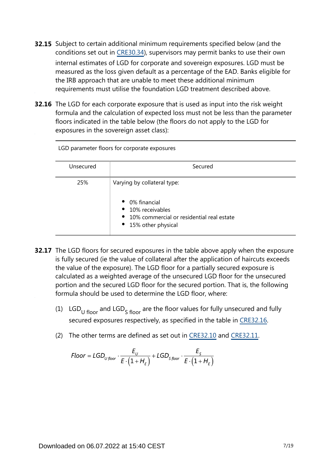- **32.15** Subject to certain additional minimum requirements specified below (and the conditions set out in [CRE30.34\)](https://www.bis.org/basel_framework/chapter/CRE/30.htm?tldate=20230101&inforce=20230101&published=20200327#paragraph_CRE_30_20230101_30_34), supervisors may permit banks to use their own internal estimates of LGD for corporate and sovereign exposures. LGD must be measured as the loss given default as a percentage of the EAD. Banks eligible for the IRB approach that are unable to meet these additional minimum requirements must utilise the foundation LGD treatment described above.
- **32.16** The LGD for each corporate exposure that is used as input into the risk weight formula and the calculation of expected loss must not be less than the parameter floors indicated in the table below (the floors do not apply to the LGD for exposures in the sovereign asset class):

| LGD parameter floors for corporate exposures |                                                                                                                                                   |  |  |  |
|----------------------------------------------|---------------------------------------------------------------------------------------------------------------------------------------------------|--|--|--|
| Unsecured                                    | Secured                                                                                                                                           |  |  |  |
| 25%                                          | Varying by collateral type:<br>• 0% financial<br>• 10% receivables<br>$\bullet$ 10% commercial or residential real estate<br>• 15% other physical |  |  |  |

- **32.17** The LGD floors for secured exposures in the table above apply when the exposure is fully secured (ie the value of collateral after the application of haircuts exceeds the value of the exposure). The LGD floor for a partially secured exposure is calculated as a weighted average of the unsecured LGD floor for the unsecured portion and the secured LGD floor for the secured portion. That is, the following formula should be used to determine the LGD floor, where:
	- (1) LGD<sub>U floor</sub> and LGD<sub>S</sub> floor are the floor values for fully unsecured and fully secured exposures respectively, as specified in the table in [CRE32.16](https://www.bis.org/basel_framework/chapter/CRE/32.htm?tldate=20230101&inforce=20230101&published=20200327#paragraph_CRE_32_20230101_32_16).
	- (2) The other terms are defined as set out in [CRE32.10](https://www.bis.org/basel_framework/chapter/CRE/32.htm?tldate=20230101&inforce=20230101&published=20200327#paragraph_CRE_32_20230101_32_10) and [CRE32.11](https://www.bis.org/basel_framework/chapter/CRE/32.htm?tldate=20230101&inforce=20230101&published=20200327#paragraph_CRE_32_20230101_32_11).

$$
Floor = LGD_{U\,floor} \cdot \frac{E_{U}}{E \cdot (1 + H_{E})} + LGD_{S\,floor} \cdot \frac{E_{S}}{E \cdot (1 + H_{E})}
$$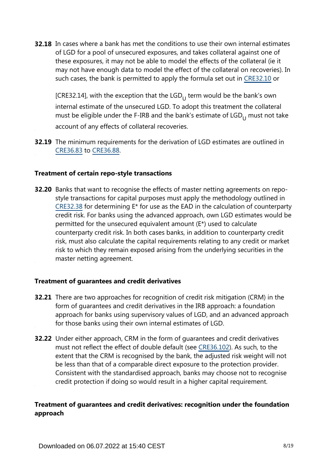**32.18** In cases where a bank has met the conditions to use their own internal estimates of LGD for a pool of unsecured exposures, and takes collateral against one of these exposures, it may not be able to model the effects of the collateral (ie it may not have enough data to model the effect of the collateral on recoveries). In such cases, the bank is permitted to apply the formula set out in [CRE32.10](https://www.bis.org/basel_framework/chapter/CRE/32.htm?tldate=20230101&inforce=20230101&published=20200327#paragraph_CRE_32_20230101_32_10) or

[CRE32.14], with the exception that the  $LGD_{11}$  term would be the bank's own internal estimate of the unsecured LGD. To adopt this treatment the collateral must be eligible under the F-IRB and the bank's estimate of  $LGD_{11}$  must not take account of any effects of collateral recoveries.

**32.19** The minimum requirements for the derivation of LGD estimates are outlined in [CRE36.83](https://www.bis.org/basel_framework/chapter/CRE/36.htm?tldate=20230101&inforce=20230101&published=20200327#paragraph_CRE_36_20230101_36_83) to [CRE36.88](https://www.bis.org/basel_framework/chapter/CRE/36.htm?tldate=20230101&inforce=20230101&published=20200327#paragraph_CRE_36_20230101_36_88).

#### **Treatment of certain repo-style transactions**

**32.20** Banks that want to recognise the effects of master netting agreements on repostyle transactions for capital purposes must apply the methodology outlined in [CRE32.38](https://www.bis.org/basel_framework/chapter/CRE/32.htm?tldate=20230101&inforce=20230101&published=20200327#paragraph_CRE_32_20230101_32_38) for determining E\* for use as the EAD in the calculation of counterparty credit risk. For banks using the advanced approach, own LGD estimates would be permitted for the unsecured equivalent amount (E\*) used to calculate counterparty credit risk. In both cases banks, in addition to counterparty credit risk, must also calculate the capital requirements relating to any credit or market risk to which they remain exposed arising from the underlying securities in the master netting agreement.

#### **Treatment of guarantees and credit derivatives**

- **32.21** There are two approaches for recognition of credit risk mitigation (CRM) in the form of guarantees and credit derivatives in the IRB approach: a foundation approach for banks using supervisory values of LGD, and an advanced approach for those banks using their own internal estimates of LGD.
- **32.22** Under either approach, CRM in the form of guarantees and credit derivatives must not reflect the effect of double default (see [CRE36.102](https://www.bis.org/basel_framework/chapter/CRE/36.htm?tldate=20230101&inforce=20230101&published=20200327#paragraph_CRE_36_20230101_36_102)). As such, to the extent that the CRM is recognised by the bank, the adjusted risk weight will not be less than that of a comparable direct exposure to the protection provider. Consistent with the standardised approach, banks may choose not to recognise credit protection if doing so would result in a higher capital requirement.

# **Treatment of guarantees and credit derivatives: recognition under the foundation approach**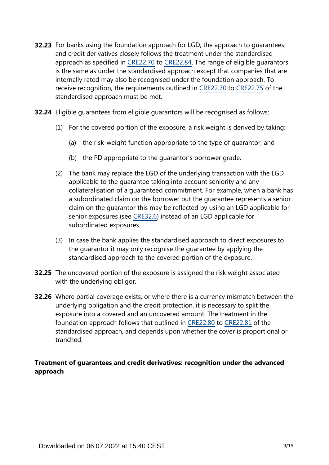- **32.23** For banks using the foundation approach for LGD, the approach to guarantees and credit derivatives closely follows the treatment under the standardised approach as specified in [CRE22.70](https://www.bis.org/basel_framework/chapter/CRE/22.htm?tldate=20230101&inforce=20230101&published=20201126#paragraph_CRE_22_20230101_22_70) to [CRE22.84.](https://www.bis.org/basel_framework/chapter/CRE/22.htm?tldate=20230101&inforce=20230101&published=20201126#paragraph_CRE_22_20230101_22_84) The range of eligible guarantors is the same as under the standardised approach except that companies that are internally rated may also be recognised under the foundation approach. To receive recognition, the requirements outlined in [CRE22.70](https://www.bis.org/basel_framework/chapter/CRE/22.htm?tldate=20230101&inforce=20230101&published=20201126#paragraph_CRE_22_20230101_22_70) to [CRE22.75](https://www.bis.org/basel_framework/chapter/CRE/22.htm?tldate=20230101&inforce=20230101&published=20201126#paragraph_CRE_22_20230101_22_75) of the standardised approach must be met.
- **32.24** Eligible guarantees from eligible guarantors will be recognised as follows:
	- (1) For the covered portion of the exposure, a risk weight is derived by taking:
		- (a) the risk-weight function appropriate to the type of guarantor, and
		- (b) the PD appropriate to the guarantor's borrower grade.
	- (2) The bank may replace the LGD of the underlying transaction with the LGD applicable to the guarantee taking into account seniority and any collateralisation of a guaranteed commitment. For example, when a bank has a subordinated claim on the borrower but the guarantee represents a senior claim on the guarantor this may be reflected by using an LGD applicable for senior exposures (see [CRE32.6\)](https://www.bis.org/basel_framework/chapter/CRE/32.htm?tldate=20230101&inforce=20230101&published=20200327#paragraph_CRE_32_20230101_32_6) instead of an LGD applicable for subordinated exposures.
	- (3) In case the bank applies the standardised approach to direct exposures to the guarantor it may only recognise the guarantee by applying the standardised approach to the covered portion of the exposure.
- **32.25** The uncovered portion of the exposure is assigned the risk weight associated with the underlying obligor.
- **32.26** Where partial coverage exists, or where there is a currency mismatch between the underlying obligation and the credit protection, it is necessary to split the exposure into a covered and an uncovered amount. The treatment in the foundation approach follows that outlined in [CRE22.80](https://www.bis.org/basel_framework/chapter/CRE/22.htm?tldate=20230101&inforce=20230101&published=20201126#paragraph_CRE_22_20230101_22_80) to [CRE22.81](https://www.bis.org/basel_framework/chapter/CRE/22.htm?tldate=20230101&inforce=20230101&published=20201126#paragraph_CRE_22_20230101_22_81) of the standardised approach, and depends upon whether the cover is proportional or tranched.

# **Treatment of guarantees and credit derivatives: recognition under the advanced approach**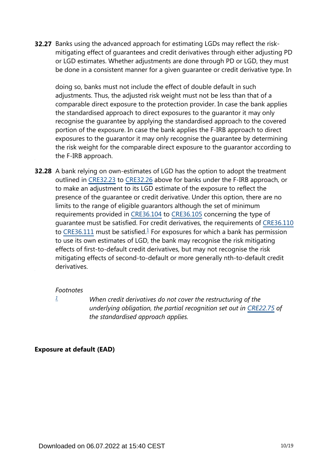**32.27** Banks using the advanced approach for estimating LGDs may reflect the riskmitigating effect of guarantees and credit derivatives through either adjusting PD or LGD estimates. Whether adjustments are done through PD or LGD, they must be done in a consistent manner for a given guarantee or credit derivative type. In

doing so, banks must not include the effect of double default in such adjustments. Thus, the adjusted risk weight must not be less than that of a comparable direct exposure to the protection provider. In case the bank applies the standardised approach to direct exposures to the guarantor it may only recognise the guarantee by applying the standardised approach to the covered portion of the exposure. In case the bank applies the F-IRB approach to direct exposures to the guarantor it may only recognise the guarantee by determining the risk weight for the comparable direct exposure to the guarantor according to the F-IRB approach.

<span id="page-9-1"></span>**32.28** A bank relying on own-estimates of LGD has the option to adopt the treatment outlined in [CRE32.23](https://www.bis.org/basel_framework/chapter/CRE/32.htm?tldate=20230101&inforce=20230101&published=20200327#paragraph_CRE_32_20230101_32_23) to [CRE32.26](https://www.bis.org/basel_framework/chapter/CRE/32.htm?tldate=20230101&inforce=20230101&published=20200327#paragraph_CRE_32_20230101_32_26) above for banks under the F-IRB approach, or to make an adjustment to its LGD estimate of the exposure to reflect the presence of the guarantee or credit derivative. Under this option, there are no limits to the range of eligible guarantors although the set of minimum requirements provided in [CRE36.104](https://www.bis.org/basel_framework/chapter/CRE/36.htm?tldate=20230101&inforce=20230101&published=20200327#paragraph_CRE_36_20230101_36_104) to [CRE36.105](https://www.bis.org/basel_framework/chapter/CRE/36.htm?tldate=20230101&inforce=20230101&published=20200327#paragraph_CRE_36_20230101_36_105) concerning the type of guarantee must be satisfied. For credit derivatives, the requirements of [CRE36.110](https://www.bis.org/basel_framework/chapter/CRE/36.htm?tldate=20230101&inforce=20230101&published=20200327#paragraph_CRE_36_20230101_36_110) to [CRE36.111](https://www.bis.org/basel_framework/chapter/CRE/36.htm?tldate=20230101&inforce=20230101&published=20200327#paragraph_CRE_36_20230101_36_111) must be satisfied. $\frac{1}{2}$  $\frac{1}{2}$  $\frac{1}{2}$  For exposures for which a bank has permission to use its own estimates of LGD, the bank may recognise the risk mitigating effects of first-to-default credit derivatives, but may not recognise the risk mitigating effects of second-to-default or more generally nth-to-default credit derivatives.

#### *Footnotes*

<span id="page-9-0"></span>*[1](#page-9-1)*

*When credit derivatives do not cover the restructuring of the underlying obligation, the partial recognition set out in [CRE22.75](https://www.bis.org/basel_framework/chapter/CRE/22.htm?tldate=20230101&inforce=20230101&published=20201126#paragraph_CRE_22_20230101_22_75) of the standardised approach applies.*

#### **Exposure at default (EAD)**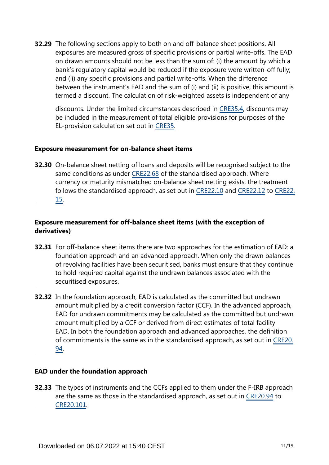**32.29** The following sections apply to both on and off-balance sheet positions. All exposures are measured gross of specific provisions or partial write-offs. The EAD on drawn amounts should not be less than the sum of: (i) the amount by which a bank's regulatory capital would be reduced if the exposure were written-off fully; and (ii) any specific provisions and partial write-offs. When the difference between the instrument's EAD and the sum of (i) and (ii) is positive, this amount is termed a discount. The calculation of risk-weighted assets is independent of any

discounts. Under the limited circumstances described in [CRE35.4,](https://www.bis.org/basel_framework/chapter/CRE/35.htm?tldate=20230101&inforce=20230101&published=20200327#paragraph_CRE_35_20230101_35_4) discounts may be included in the measurement of total eligible provisions for purposes of the EL-provision calculation set out in [CRE35.](https://www.bis.org/basel_framework/chapter/CRE/35.htm?tldate=20230101&inforce=20230101&published=20200327)

#### **Exposure measurement for on-balance sheet items**

**32.30** On-balance sheet netting of loans and deposits will be recognised subject to the same conditions as under [CRE22.68](https://www.bis.org/basel_framework/chapter/CRE/22.htm?tldate=20230101&inforce=20230101&published=20201126#paragraph_CRE_22_20230101_22_68) of the standardised approach. Where currency or maturity mismatched on-balance sheet netting exists, the treatment follows the standardised approach, as set out in [CRE22.10](https://www.bis.org/basel_framework/chapter/CRE/22.htm?tldate=20230101&inforce=20230101&published=20201126#paragraph_CRE_22_20230101_22_10) and [CRE22.12](https://www.bis.org/basel_framework/chapter/CRE/22.htm?tldate=20230101&inforce=20230101&published=20201126#paragraph_CRE_22_20230101_22_12) to [CRE22.](https://www.bis.org/basel_framework/chapter/CRE/22.htm?tldate=20230101&inforce=20230101&published=20201126#paragraph_CRE_22_20230101_22_15) [15](https://www.bis.org/basel_framework/chapter/CRE/22.htm?tldate=20230101&inforce=20230101&published=20201126#paragraph_CRE_22_20230101_22_15).

## **Exposure measurement for off-balance sheet items (with the exception of derivatives)**

- **32.31** For off-balance sheet items there are two approaches for the estimation of EAD: a foundation approach and an advanced approach. When only the drawn balances of revolving facilities have been securitised, banks must ensure that they continue to hold required capital against the undrawn balances associated with the securitised exposures.
- **32.32** In the foundation approach, EAD is calculated as the committed but undrawn amount multiplied by a credit conversion factor (CCF). In the advanced approach, EAD for undrawn commitments may be calculated as the committed but undrawn amount multiplied by a CCF or derived from direct estimates of total facility EAD. In both the foundation approach and advanced approaches, the definition of commitments is the same as in the standardised approach, as set out in [CRE20.](https://www.bis.org/basel_framework/chapter/CRE/20.htm?tldate=20230101&inforce=20230101&published=20201126#paragraph_CRE_20_20230101_20_94) [94](https://www.bis.org/basel_framework/chapter/CRE/20.htm?tldate=20230101&inforce=20230101&published=20201126#paragraph_CRE_20_20230101_20_94).

#### **EAD under the foundation approach**

**32.33** The types of instruments and the CCFs applied to them under the F-IRB approach are the same as those in the standardised approach, as set out in [CRE20.94](https://www.bis.org/basel_framework/chapter/CRE/20.htm?tldate=20230101&inforce=20230101&published=20201126#paragraph_CRE_20_20230101_20_94) to [CRE20.101.](https://www.bis.org/basel_framework/chapter/CRE/20.htm?tldate=20230101&inforce=20230101&published=20201126#paragraph_CRE_20_20230101_20_101)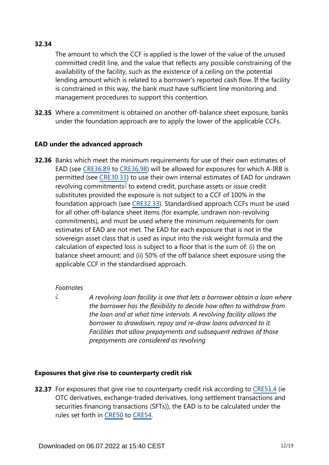# **32.34**

The amount to which the CCF is applied is the lower of the value of the unused committed credit line, and the value that reflects any possible constraining of the availability of the facility, such as the existence of a ceiling on the potential lending amount which is related to a borrower's reported cash flow. If the facility is constrained in this way, the bank must have sufficient line monitoring and management procedures to support this contention.

**32.35** Where a commitment is obtained on another off-balance sheet exposure, banks under the foundation approach are to apply the lower of the applicable CCFs.

#### **EAD under the advanced approach**

<span id="page-11-1"></span>**32.36** Banks which meet the minimum requirements for use of their own estimates of EAD (see [CRE36.89](https://www.bis.org/basel_framework/chapter/CRE/36.htm?tldate=20230101&inforce=20230101&published=20200327#paragraph_CRE_36_20230101_36_89) to [CRE36.98](https://www.bis.org/basel_framework/chapter/CRE/36.htm?tldate=20230101&inforce=20230101&published=20200327#paragraph_CRE_36_20230101_36_98)) will be allowed for exposures for which A-IRB is permitted (see [CRE30.33](https://www.bis.org/basel_framework/chapter/CRE/30.htm?tldate=20230101&inforce=20230101&published=20200327#paragraph_CRE_30_20230101_30_33)) to use their own internal estimates of EAD for undrawn revolving commitments<sup>[2](#page-11-0)</sup> to extend credit, purchase assets or issue credit substitutes provided the exposure is not subject to a CCF of 100% in the foundation approach (see [CRE32.33](https://www.bis.org/basel_framework/chapter/CRE/32.htm?tldate=20230101&inforce=20230101&published=20200327#paragraph_CRE_32_20230101_32_33)). Standardised approach CCFs must be used for all other off-balance sheet items (for example, undrawn non-revolving commitments), and must be used where the minimum requirements for own estimates of EAD are not met. The EAD for each exposure that is not in the sovereign asset class that is used as input into the risk weight formula and the calculation of expected loss is subject to a floor that is the sum of: (i) the on balance sheet amount; and (ii) 50% of the off balance sheet exposure using the applicable CCF in the standardised approach.

#### *Footnotes*

<span id="page-11-0"></span>*[2](#page-11-1)*

*A revolving loan facility is one that lets a borrower obtain a loan where the borrower has the flexibility to decide how often to withdraw from the loan and at what time intervals. A revolving facility allows the borrower to drawdown, repay and re-draw loans advanced to it. Facilities that allow prepayments and subsequent redraws of those prepayments are considered as revolving.*

# **Exposures that give rise to counterparty credit risk**

**32.37** For exposures that give rise to counterparty credit risk according to [CRE51.4](https://www.bis.org/basel_framework/chapter/CRE/51.htm?tldate=20230101&inforce=20230101&published=20200327#paragraph_CRE_51_20230101_51_4) (ie OTC derivatives, exchange-traded derivatives, long settlement transactions and securities financing transactions (SFTs)), the EAD is to be calculated under the rules set forth in [CRE50](https://www.bis.org/basel_framework/chapter/CRE/50.htm?tldate=20230101&inforce=20191215&published=20191215) to [CRE54](https://www.bis.org/basel_framework/chapter/CRE/54.htm?tldate=20230101&inforce=20230101&published=20200327).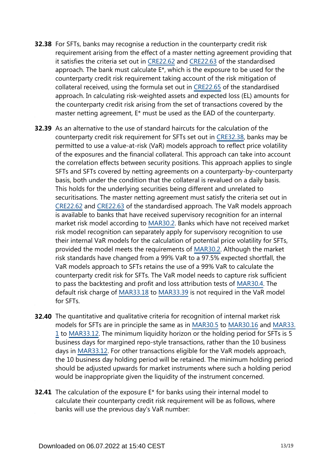- **32.38** For SFTs, banks may recognise a reduction in the counterparty credit risk requirement arising from the effect of a master netting agreement providing that it satisfies the criteria set out in [CRE22.62](https://www.bis.org/basel_framework/chapter/CRE/22.htm?tldate=20230101&inforce=20230101&published=20201126#paragraph_CRE_22_20230101_22_62) and [CRE22.63](https://www.bis.org/basel_framework/chapter/CRE/22.htm?tldate=20230101&inforce=20230101&published=20201126#paragraph_CRE_22_20230101_22_63) of the standardised approach. The bank must calculate E\*, which is the exposure to be used for the counterparty credit risk requirement taking account of the risk mitigation of collateral received, using the formula set out in [CRE22.65](https://www.bis.org/basel_framework/chapter/CRE/22.htm?tldate=20230101&inforce=20230101&published=20201126#paragraph_CRE_22_20230101_22_65) of the standardised approach. In calculating risk-weighted assets and expected loss (EL) amounts for the counterparty credit risk arising from the set of transactions covered by the master netting agreement, E\* must be used as the EAD of the counterparty.
- **32.39** As an alternative to the use of standard haircuts for the calculation of the counterparty credit risk requirement for SFTs set out in [CRE32.38](https://www.bis.org/basel_framework/chapter/CRE/32.htm?tldate=20230101&inforce=20230101&published=20200327#paragraph_CRE_32_20230101_32_38), banks may be permitted to use a value-at-risk (VaR) models approach to reflect price volatility of the exposures and the financial collateral. This approach can take into account the correlation effects between security positions. This approach applies to single SFTs and SFTs covered by netting agreements on a counterparty-by-counterparty basis, both under the condition that the collateral is revalued on a daily basis. This holds for the underlying securities being different and unrelated to securitisations. The master netting agreement must satisfy the criteria set out in [CRE22.62](https://www.bis.org/basel_framework/chapter/CRE/22.htm?tldate=20230101&inforce=20230101&published=20201126#paragraph_CRE_22_20230101_22_62) and [CRE22.63](https://www.bis.org/basel_framework/chapter/CRE/22.htm?tldate=20230101&inforce=20230101&published=20201126#paragraph_CRE_22_20230101_22_63) of the standardised approach. The VaR models approach is available to banks that have received supervisory recognition for an internal market risk model according to [MAR30.2](https://www.bis.org/basel_framework/chapter/MAR/30.htm?tldate=20230101&inforce=20230101&published=20200327#paragraph_MAR_30_20230101_30_2). Banks which have not received market risk model recognition can separately apply for supervisory recognition to use their internal VaR models for the calculation of potential price volatility for SFTs, provided the model meets the requirements of [MAR30.2.](https://www.bis.org/basel_framework/chapter/MAR/30.htm?tldate=20230101&inforce=20230101&published=20200327#paragraph_MAR_30_20230101_30_2) Although the market risk standards have changed from a 99% VaR to a 97.5% expected shortfall, the VaR models approach to SFTs retains the use of a 99% VaR to calculate the counterparty credit risk for SFTs. The VaR model needs to capture risk sufficient to pass the backtesting and profit and loss attribution tests of [MAR30.4](https://www.bis.org/basel_framework/chapter/MAR/30.htm?tldate=20230101&inforce=20230101&published=20200327#paragraph_MAR_30_20230101_30_4). The default risk charge of [MAR33.18](https://www.bis.org/basel_framework/chapter/MAR/33.htm?tldate=20230101&inforce=20230101&published=20200605#paragraph_MAR_33_20230101_33_18) to [MAR33.39](https://www.bis.org/basel_framework/chapter/MAR/33.htm?tldate=20230101&inforce=20230101&published=20200605#paragraph_MAR_33_20230101_33_39) is not required in the VaR model for SFTs.
- **32.40** The quantitative and qualitative criteria for recognition of internal market risk models for SFTs are in principle the same as in [MAR30.5](https://www.bis.org/basel_framework/chapter/MAR/30.htm?tldate=20230101&inforce=20230101&published=20200327#paragraph_MAR_30_20230101_30_5) to [MAR30.16](https://www.bis.org/basel_framework/chapter/MAR/30.htm?tldate=20230101&inforce=20230101&published=20200327#paragraph_MAR_30_20230101_30_16) and [MAR33.](https://www.bis.org/basel_framework/chapter/MAR/33.htm?tldate=20230101&inforce=20230101&published=20200605#paragraph_MAR_33_20230101_33_1) [1](https://www.bis.org/basel_framework/chapter/MAR/33.htm?tldate=20230101&inforce=20230101&published=20200605#paragraph_MAR_33_20230101_33_1) to [MAR33.12](https://www.bis.org/basel_framework/chapter/MAR/33.htm?tldate=20230101&inforce=20230101&published=20200605#paragraph_MAR_33_20230101_33_12). The minimum liquidity horizon or the holding period for SFTs is 5 business days for margined repo-style transactions, rather than the 10 business days in [MAR33.12.](https://www.bis.org/basel_framework/chapter/MAR/33.htm?tldate=20230101&inforce=20230101&published=20200605#paragraph_MAR_33_20230101_33_12) For other transactions eligible for the VaR models approach, the 10 business day holding period will be retained. The minimum holding period should be adjusted upwards for market instruments where such a holding period would be inappropriate given the liquidity of the instrument concerned.
- **32.41** The calculation of the exposure E<sup>\*</sup> for banks using their internal model to calculate their counterparty credit risk requirement will be as follows, where banks will use the previous day's VaR number: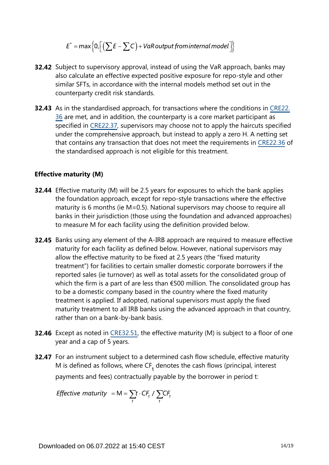$$
E^* = \max\Big\{0, \Big[\Big(\sum E - \sum C\Big) + VaR\,output\,from\,internal\,model\Big]\Big\}
$$

- **32.42** Subject to supervisory approval, instead of using the VaR approach, banks may also calculate an effective expected positive exposure for repo-style and other similar SFTs, in accordance with the internal models method set out in the counterparty credit risk standards.
- **32.43** As in the standardised approach, for transactions where the conditions in [CRE22.](https://www.bis.org/basel_framework/chapter/CRE/22.htm?tldate=20230101&inforce=20230101&published=20201126#paragraph_CRE_22_20230101_22_36) [36](https://www.bis.org/basel_framework/chapter/CRE/22.htm?tldate=20230101&inforce=20230101&published=20201126#paragraph_CRE_22_20230101_22_36) are met, and in addition, the counterparty is a core market participant as specified in [CRE22.37](https://www.bis.org/basel_framework/chapter/CRE/22.htm?tldate=20230101&inforce=20230101&published=20201126#paragraph_CRE_22_20230101_22_37), supervisors may choose not to apply the haircuts specified under the comprehensive approach, but instead to apply a zero H. A netting set that contains any transaction that does not meet the requirements in [CRE22.36](https://www.bis.org/basel_framework/chapter/CRE/22.htm?tldate=20230101&inforce=20230101&published=20201126#paragraph_CRE_22_20230101_22_36) of the standardised approach is not eligible for this treatment.

#### **Effective maturity (M)**

- **32.44** Effective maturity (M) will be 2.5 years for exposures to which the bank applies the foundation approach, except for repo-style transactions where the effective maturity is 6 months (ie M=0.5). National supervisors may choose to require all banks in their jurisdiction (those using the foundation and advanced approaches) to measure M for each facility using the definition provided below.
- **32.45** Banks using any element of the A-IRB approach are required to measure effective maturity for each facility as defined below. However, national supervisors may allow the effective maturity to be fixed at 2.5 years (the "fixed maturity treatment") for facilities to certain smaller domestic corporate borrowers if the reported sales (ie turnover) as well as total assets for the consolidated group of which the firm is a part of are less than €500 million. The consolidated group has to be a domestic company based in the country where the fixed maturity treatment is applied. If adopted, national supervisors must apply the fixed maturity treatment to all IRB banks using the advanced approach in that country, rather than on a bank-by-bank basis.
- **32.46** Except as noted in [CRE32.51,](https://www.bis.org/basel_framework/chapter/CRE/32.htm?tldate=20230101&inforce=20230101&published=20200327#paragraph_CRE_32_20230101_32_51) the effective maturity (M) is subject to a floor of one year and a cap of 5 years.
- **32.47** For an instrument subject to a determined cash flow schedule, effective maturity M is defined as follows, where  $CF<sub>+</sub>$  denotes the cash flows (principal, interest payments and fees) contractually payable by the borrower in period t:

*Effective maturity* = M =  $\sum_{t} t \cdot CF_t / \sum_{t} CF_t$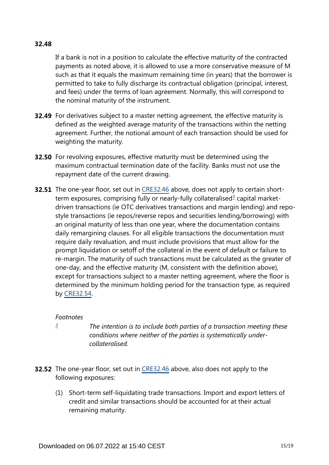#### **32.48**

If a bank is not in a position to calculate the effective maturity of the contracted payments as noted above, it is allowed to use a more conservative measure of M such as that it equals the maximum remaining time (in years) that the borrower is permitted to take to fully discharge its contractual obligation (principal, interest, and fees) under the terms of loan agreement. Normally, this will correspond to the nominal maturity of the instrument.

- **32.49** For derivatives subject to a master netting agreement, the effective maturity is defined as the weighted average maturity of the transactions within the netting agreement. Further, the notional amount of each transaction should be used for weighting the maturity.
- **32.50** For revolving exposures, effective maturity must be determined using the maximum contractual termination date of the facility. Banks must not use the repayment date of the current drawing.
- <span id="page-14-1"></span>**32.51** The one-year floor, set out in [CRE32.46](https://www.bis.org/basel_framework/chapter/CRE/32.htm?tldate=20230101&inforce=20230101&published=20200327#paragraph_CRE_32_20230101_32_46) above, does not apply to certain short-term exposures, comprising fully or nearly-fully collateralised<sup>[3](#page-14-0)</sup> capital marketdriven transactions (ie OTC derivatives transactions and margin lending) and repostyle transactions (ie repos/reverse repos and securities lending/borrowing) with an original maturity of less than one year, where the documentation contains daily remargining clauses. For all eligible transactions the documentation must require daily revaluation, and must include provisions that must allow for the prompt liquidation or setoff of the collateral in the event of default or failure to re-margin. The maturity of such transactions must be calculated as the greater of one-day, and the effective maturity (M, consistent with the definition above), except for transactions subject to a master netting agreement, where the floor is determined by the minimum holding period for the transaction type, as required by [CRE32.54](https://www.bis.org/basel_framework/chapter/CRE/32.htm?tldate=20230101&inforce=20230101&published=20200327#paragraph_CRE_32_20230101_32_54).

#### *Footnotes*

<span id="page-14-0"></span>*[3](#page-14-1)*

*The intention is to include both parties of a transaction meeting these conditions where neither of the parties is systematically undercollateralised.*

- **32.52** The one-year floor, set out in [CRE32.46](https://www.bis.org/basel_framework/chapter/CRE/32.htm?tldate=20230101&inforce=20230101&published=20200327#paragraph_CRE_32_20230101_32_46) above, also does not apply to the following exposures:
	- (1) Short-term self-liquidating trade transactions. Import and export letters of credit and similar transactions should be accounted for at their actual remaining maturity.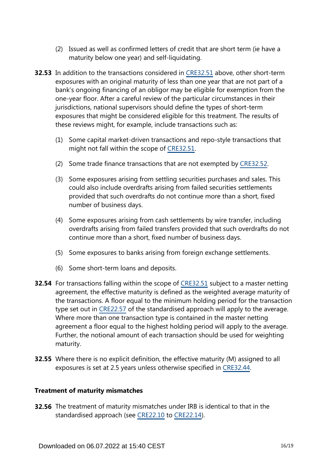- (2) Issued as well as confirmed letters of credit that are short term (ie have a maturity below one year) and self-liquidating.
- **32.53** In addition to the transactions considered in [CRE32.51](https://www.bis.org/basel_framework/chapter/CRE/32.htm?tldate=20230101&inforce=20230101&published=20200327#paragraph_CRE_32_20230101_32_51) above, other short-term exposures with an original maturity of less than one year that are not part of a bank's ongoing financing of an obligor may be eligible for exemption from the one-year floor. After a careful review of the particular circumstances in their jurisdictions, national supervisors should define the types of short-term exposures that might be considered eligible for this treatment. The results of these reviews might, for example, include transactions such as:
	- (1) Some capital market-driven transactions and repo-style transactions that might not fall within the scope of [CRE32.51](https://www.bis.org/basel_framework/chapter/CRE/32.htm?tldate=20230101&inforce=20230101&published=20200327#paragraph_CRE_32_20230101_32_51).
	- (2) Some trade finance transactions that are not exempted by [CRE32.52.](https://www.bis.org/basel_framework/chapter/CRE/32.htm?tldate=20230101&inforce=20230101&published=20200327#paragraph_CRE_32_20230101_32_52)
	- (3) Some exposures arising from settling securities purchases and sales. This could also include overdrafts arising from failed securities settlements provided that such overdrafts do not continue more than a short, fixed number of business days.
	- (4) Some exposures arising from cash settlements by wire transfer, including overdrafts arising from failed transfers provided that such overdrafts do not continue more than a short, fixed number of business days.
	- (5) Some exposures to banks arising from foreign exchange settlements.
	- (6) Some short-term loans and deposits.
- **32.54** For transactions falling within the scope of [CRE32.51](https://www.bis.org/basel_framework/chapter/CRE/32.htm?tldate=20230101&inforce=20230101&published=20200327#paragraph_CRE_32_20230101_32_51) subject to a master netting agreement, the effective maturity is defined as the weighted average maturity of the transactions. A floor equal to the minimum holding period for the transaction type set out in [CRE22.57](https://www.bis.org/basel_framework/chapter/CRE/22.htm?tldate=20230101&inforce=20230101&published=20201126#paragraph_CRE_22_20230101_22_57) of the standardised approach will apply to the average. Where more than one transaction type is contained in the master netting agreement a floor equal to the highest holding period will apply to the average. Further, the notional amount of each transaction should be used for weighting maturity.
- **32.55** Where there is no explicit definition, the effective maturity (M) assigned to all exposures is set at 2.5 years unless otherwise specified in [CRE32.44](https://www.bis.org/basel_framework/chapter/CRE/32.htm?tldate=20230101&inforce=20230101&published=20200327#paragraph_CRE_32_20230101_32_44).

#### **Treatment of maturity mismatches**

**32.56** The treatment of maturity mismatches under IRB is identical to that in the standardised approach (see [CRE22.10](https://www.bis.org/basel_framework/chapter/CRE/22.htm?tldate=20230101&inforce=20230101&published=20201126#paragraph_CRE_22_20230101_22_10) to [CRE22.14\)](https://www.bis.org/basel_framework/chapter/CRE/22.htm?tldate=20230101&inforce=20230101&published=20201126#paragraph_CRE_22_20230101_22_14).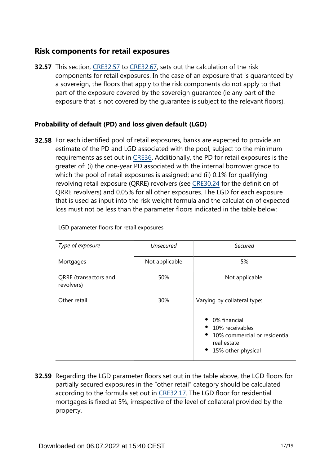# **Risk components for retail exposures**

**32.57** This section, [CRE32.57](https://www.bis.org/basel_framework/chapter/CRE/32.htm?tldate=20230101&inforce=20230101&published=20200327#paragraph_CRE_32_20230101_32_57) to [CRE32.67](https://www.bis.org/basel_framework/chapter/CRE/32.htm?tldate=20230101&inforce=20230101&published=20200327#paragraph_CRE_32_20230101_32_67), sets out the calculation of the risk components for retail exposures. In the case of an exposure that is guaranteed by a sovereign, the floors that apply to the risk components do not apply to that part of the exposure covered by the sovereign guarantee (ie any part of the exposure that is not covered by the guarantee is subject to the relevant floors).

## **Probability of default (PD) and loss given default (LGD)**

**32.58** For each identified pool of retail exposures, banks are expected to provide an estimate of the PD and LGD associated with the pool, subject to the minimum requirements as set out in [CRE36](https://www.bis.org/basel_framework/chapter/CRE/36.htm?tldate=20230101&inforce=20230101&published=20200327). Additionally, the PD for retail exposures is the greater of: (i) the one-year PD associated with the internal borrower grade to which the pool of retail exposures is assigned; and (ii) 0.1% for qualifying revolving retail exposure (QRRE) revolvers (see [CRE30.24](https://www.bis.org/basel_framework/chapter/CRE/30.htm?tldate=20230101&inforce=20230101&published=20200327#paragraph_CRE_30_20230101_30_24) for the definition of QRRE revolvers) and 0.05% for all other exposures. The LGD for each exposure that is used as input into the risk weight formula and the calculation of expected loss must not be less than the parameter floors indicated in the table below:

| Type of exposure                    | <b>Unsecured</b> | Secured                                                                                                            |
|-------------------------------------|------------------|--------------------------------------------------------------------------------------------------------------------|
| Mortgages                           | Not applicable   | 5%                                                                                                                 |
| QRRE (transactors and<br>revolvers) | 50%              | Not applicable                                                                                                     |
| Other retail                        | 30%              | Varying by collateral type:                                                                                        |
|                                     |                  | 0% financial<br>10% receivables<br>10% commercial or residential<br>$\bullet$<br>real estate<br>15% other physical |

LGD parameter floors for retail exposures

**32.59** Regarding the LGD parameter floors set out in the table above, the LGD floors for partially secured exposures in the "other retail" category should be calculated according to the formula set out in [CRE32.17.](https://www.bis.org/basel_framework/chapter/CRE/32.htm?tldate=20230101&inforce=20230101&published=20200327#paragraph_CRE_32_20230101_32_17) The LGD floor for residential mortgages is fixed at 5%, irrespective of the level of collateral provided by the property.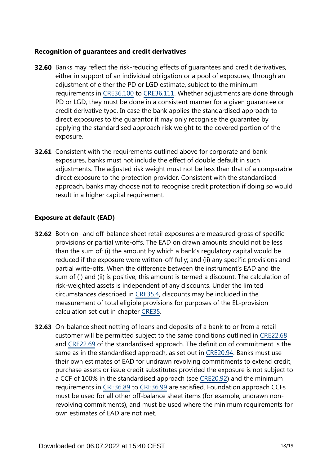#### **Recognition of guarantees and credit derivatives**

- **32.60** Banks may reflect the risk-reducing effects of guarantees and credit derivatives, either in support of an individual obligation or a pool of exposures, through an adjustment of either the PD or LGD estimate, subject to the minimum requirements in [CRE36.100](https://www.bis.org/basel_framework/chapter/CRE/36.htm?tldate=20230101&inforce=20230101&published=20200327#paragraph_CRE_36_20230101_36_100) to [CRE36.111](https://www.bis.org/basel_framework/chapter/CRE/36.htm?tldate=20230101&inforce=20230101&published=20200327#paragraph_CRE_36_20230101_36_111). Whether adjustments are done through PD or LGD, they must be done in a consistent manner for a given guarantee or credit derivative type. In case the bank applies the standardised approach to direct exposures to the guarantor it may only recognise the guarantee by applying the standardised approach risk weight to the covered portion of the exposure.
- **32.61** Consistent with the requirements outlined above for corporate and bank exposures, banks must not include the effect of double default in such adjustments. The adjusted risk weight must not be less than that of a comparable direct exposure to the protection provider. Consistent with the standardised approach, banks may choose not to recognise credit protection if doing so would result in a higher capital requirement.

#### **Exposure at default (EAD)**

- **32.62** Both on- and off-balance sheet retail exposures are measured gross of specific provisions or partial write-offs. The EAD on drawn amounts should not be less than the sum of: (i) the amount by which a bank's regulatory capital would be reduced if the exposure were written-off fully; and (ii) any specific provisions and partial write-offs. When the difference between the instrument's EAD and the sum of (i) and (ii) is positive, this amount is termed a discount. The calculation of risk-weighted assets is independent of any discounts. Under the limited circumstances described in [CRE35.4,](https://www.bis.org/basel_framework/chapter/CRE/35.htm?tldate=20230101&inforce=20230101&published=20200327#paragraph_CRE_35_20230101_35_4) discounts may be included in the measurement of total eligible provisions for purposes of the EL-provision calculation set out in chapter [CRE35.](https://www.bis.org/basel_framework/chapter/CRE/35.htm?tldate=20230101&inforce=20230101&published=20200327)
- **32.63** On-balance sheet netting of loans and deposits of a bank to or from a retail customer will be permitted subject to the same conditions outlined in [CRE22.68](https://www.bis.org/basel_framework/chapter/CRE/22.htm?tldate=20230101&inforce=20230101&published=20201126#paragraph_CRE_22_20230101_22_68) and [CRE22.69](https://www.bis.org/basel_framework/chapter/CRE/22.htm?tldate=20230101&inforce=20230101&published=20201126#paragraph_CRE_22_20230101_22_69) of the standardised approach. The definition of commitment is the same as in the standardised approach, as set out in [CRE20.94](https://www.bis.org/basel_framework/chapter/CRE/20.htm?tldate=20230101&inforce=20230101&published=20201126#paragraph_CRE_20_20230101_20_94). Banks must use their own estimates of EAD for undrawn revolving commitments to extend credit, purchase assets or issue credit substitutes provided the exposure is not subject to a CCF of 100% in the standardised approach (see [CRE20.92](https://www.bis.org/basel_framework/chapter/CRE/20.htm?tldate=20230101&inforce=20230101&published=20201126#paragraph_CRE_20_20230101_20_92)) and the minimum requirements in [CRE36.89](https://www.bis.org/basel_framework/chapter/CRE/36.htm?tldate=20230101&inforce=20230101&published=20200327#paragraph_CRE_36_20230101_36_89) to [CRE36.99](https://www.bis.org/basel_framework/chapter/CRE/36.htm?tldate=20230101&inforce=20230101&published=20200327#paragraph_CRE_36_20230101_36_99) are satisfied. Foundation approach CCFs must be used for all other off-balance sheet items (for example, undrawn nonrevolving commitments), and must be used where the minimum requirements for own estimates of EAD are not met.